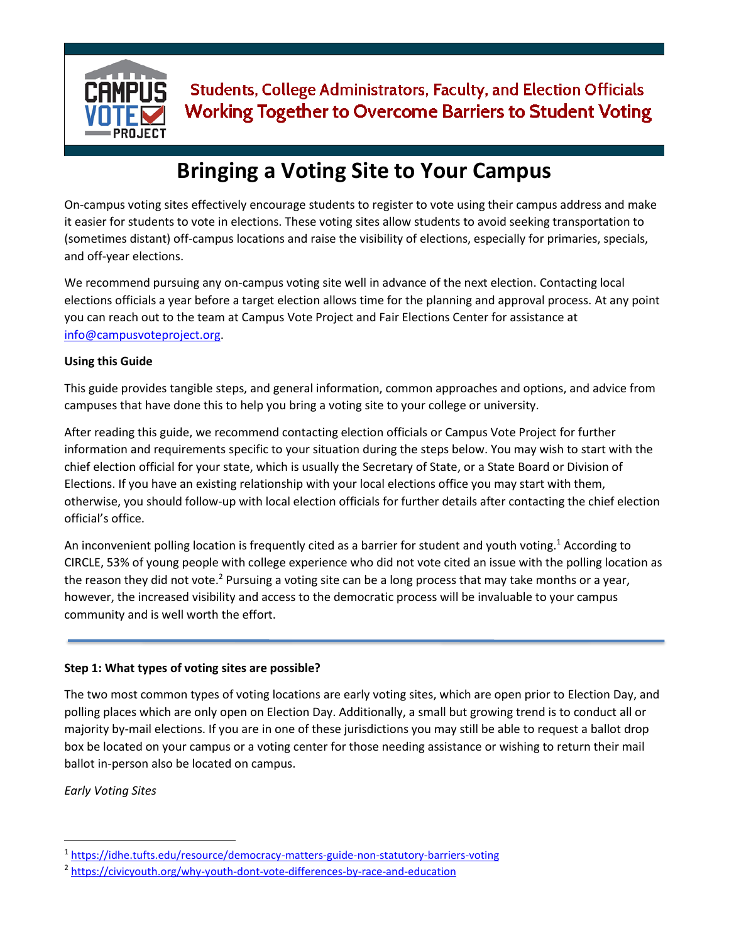

# **Bringing a Voting Site to Your Campus**

On-campus voting sites effectively encourage students to register to vote using their campus address and make it easier for students to vote in elections. These voting sites allow students to avoid seeking transportation to (sometimes distant) off-campus locations and raise the visibility of elections, especially for primaries, specials, and off-year elections.

We recommend pursuing any on-campus voting site well in advance of the next election. Contacting local elections officials a year before a target election allows time for the planning and approval process. At any point you can reach out to the team at Campus Vote Project and Fair Elections Center for assistance at [info@campusvoteproject.org.](mailto:info@campusvoteproject.org)

### **Using this Guide**

This guide provides tangible steps, and general information, common approaches and options, and advice from campuses that have done this to help you bring a voting site to your college or university.

After reading this guide, we recommend contacting election officials or Campus Vote Project for further information and requirements specific to your situation during the steps below. You may wish to start with the chief election official for your state, which is usually the Secretary of State, or a State Board or Division of Elections. If you have an existing relationship with your local elections office you may start with them, otherwise, you should follow-up with local election officials for further details after contacting the chief election official's office.

An inconvenient polling location is frequently cited as a barrier for student and youth voting.<sup>1</sup> According to CIRCLE, 53% of young people with college experience who did not vote cited an issue with the polling location as the reason they did not vote.<sup>2</sup> Pursuing a voting site can be a long process that may take months or a year, however, the increased visibility and access to the democratic process will be invaluable to your campus community and is well worth the effort.

### **Step 1: What types of voting sites are possible?**

The two most common types of voting locations are early voting sites, which are open prior to Election Day, and polling places which are only open on Election Day. Additionally, a small but growing trend is to conduct all or majority by-mail elections. If you are in one of these jurisdictions you may still be able to request a ballot drop box be located on your campus or a voting center for those needing assistance or wishing to return their mail ballot in-person also be located on campus.

*Early Voting Sites*

 $\overline{\phantom{a}}$ 

<sup>&</sup>lt;sup>1</sup><https://idhe.tufts.edu/resource/democracy-matters-guide-non-statutory-barriers-voting>

<sup>&</sup>lt;sup>2</sup> [https://civicyouth.org/why-youth-dont-vote-differences-by-race-and-education](https://civicyouth.org/why-youth-dont-vote-differences-by-race-and-education/)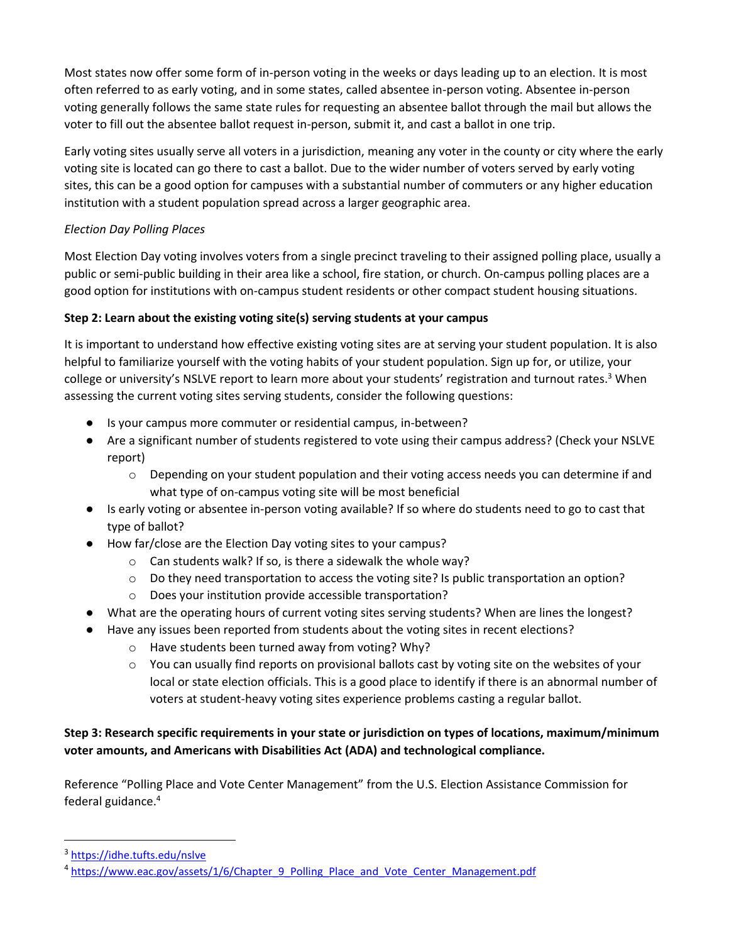Most states now offer some form of in-person voting in the weeks or days leading up to an election. It is most often referred to as early voting, and in some states, called absentee in-person voting. Absentee in-person voting generally follows the same state rules for requesting an absentee ballot through the mail but allows the voter to fill out the absentee ballot request in-person, submit it, and cast a ballot in one trip.

Early voting sites usually serve all voters in a jurisdiction, meaning any voter in the county or city where the early voting site is located can go there to cast a ballot. Due to the wider number of voters served by early voting sites, this can be a good option for campuses with a substantial number of commuters or any higher education institution with a student population spread across a larger geographic area.

## *Election Day Polling Places*

Most Election Day voting involves voters from a single precinct traveling to their assigned polling place, usually a public or semi-public building in their area like a school, fire station, or church. On-campus polling places are a good option for institutions with on-campus student residents or other compact student housing situations.

## **Step 2: Learn about the existing voting site(s) serving students at your campus**

It is important to understand how effective existing voting sites are at serving your student population. It is also helpful to familiarize yourself with the voting habits of your student population. Sign up for, or utilize, your college or university's NSLVE report to learn more about your students' registration and turnout rates.<sup>3</sup> When assessing the current voting sites serving students, consider the following questions:

- Is your campus more commuter or residential campus, in-between?
- Are a significant number of students registered to vote using their campus address? (Check your NSLVE report)
	- $\circ$  Depending on your student population and their voting access needs you can determine if and what type of on-campus voting site will be most beneficial
- Is early voting or absentee in-person voting available? If so where do students need to go to cast that type of ballot?
- How far/close are the Election Day voting sites to your campus?
	- o Can students walk? If so, is there a sidewalk the whole way?
	- $\circ$  Do they need transportation to access the voting site? Is public transportation an option?
	- o Does your institution provide accessible transportation?
- What are the operating hours of current voting sites serving students? When are lines the longest?
- Have any issues been reported from students about the voting sites in recent elections?
	- o Have students been turned away from voting? Why?
	- o You can usually find reports on provisional ballots cast by voting site on the websites of your local or state election officials. This is a good place to identify if there is an abnormal number of voters at student-heavy voting sites experience problems casting a regular ballot.

## **Step 3: Research specific requirements in your state or jurisdiction on types of locations, maximum/minimum voter amounts, and Americans with Disabilities Act (ADA) and technological compliance.**

Reference "Polling Place and Vote Center Management" from the U.S. Election Assistance Commission for federal guidance.<sup>4</sup>

 $\overline{\phantom{a}}$ 

<sup>&</sup>lt;sup>3</sup> <https://idhe.tufts.edu/nslve>

<sup>&</sup>lt;sup>4</sup> https://www.eac.gov/assets/1/6/Chapter 9 Polling Place and Vote Center Management.pdf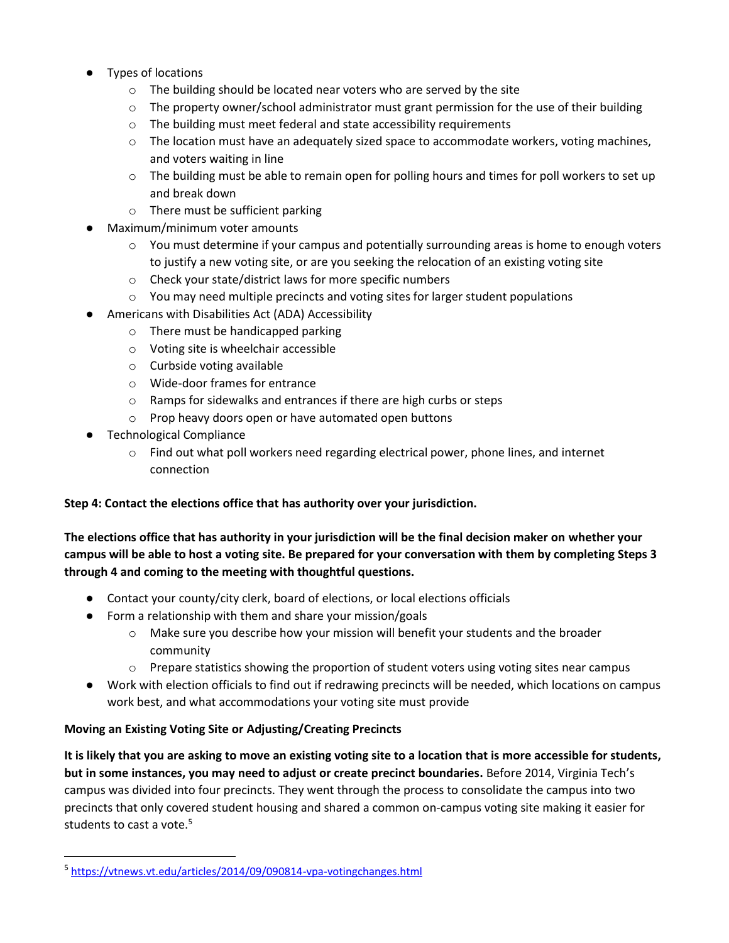- Types of locations
	- o The building should be located near voters who are served by the site
	- $\circ$  The property owner/school administrator must grant permission for the use of their building
	- o The building must meet federal and state accessibility requirements
	- $\circ$  The location must have an adequately sized space to accommodate workers, voting machines, and voters waiting in line
	- $\circ$  The building must be able to remain open for polling hours and times for poll workers to set up and break down
	- o There must be sufficient parking
- Maximum/minimum voter amounts
	- $\circ$  You must determine if your campus and potentially surrounding areas is home to enough voters to justify a new voting site, or are you seeking the relocation of an existing voting site
	- o Check your state/district laws for more specific numbers
	- $\circ$  You may need multiple precincts and voting sites for larger student populations
- Americans with Disabilities Act (ADA) Accessibility
	- o There must be handicapped parking
	- o Voting site is wheelchair accessible
	- o Curbside voting available
	- o Wide-door frames for entrance
	- o Ramps for sidewalks and entrances if there are high curbs or steps
	- o Prop heavy doors open or have automated open buttons
- Technological Compliance
	- o Find out what poll workers need regarding electrical power, phone lines, and internet connection

### **Step 4: Contact the elections office that has authority over your jurisdiction.**

**The elections office that has authority in your jurisdiction will be the final decision maker on whether your campus will be able to host a voting site. Be prepared for your conversation with them by completing Steps 3 through 4 and coming to the meeting with thoughtful questions.**

- Contact your county/city clerk, board of elections, or local elections officials
- Form a relationship with them and share your mission/goals
	- o Make sure you describe how your mission will benefit your students and the broader community
	- $\circ$  Prepare statistics showing the proportion of student voters using voting sites near campus
- Work with election officials to find out if redrawing precincts will be needed, which locations on campus work best, and what accommodations your voting site must provide

### **Moving an Existing Voting Site or Adjusting/Creating Precincts**

**It is likely that you are asking to move an existing voting site to a location that is more accessible for students, but in some instances, you may need to adjust or create precinct boundaries.** Before 2014, Virginia Tech's campus was divided into four precincts. They went through the process to consolidate the campus into two precincts that only covered student housing and shared a common on-campus voting site making it easier for students to cast a vote.<sup>5</sup>

 $\overline{\phantom{a}}$ 

<sup>&</sup>lt;sup>5</sup> <https://vtnews.vt.edu/articles/2014/09/090814-vpa-votingchanges.html>